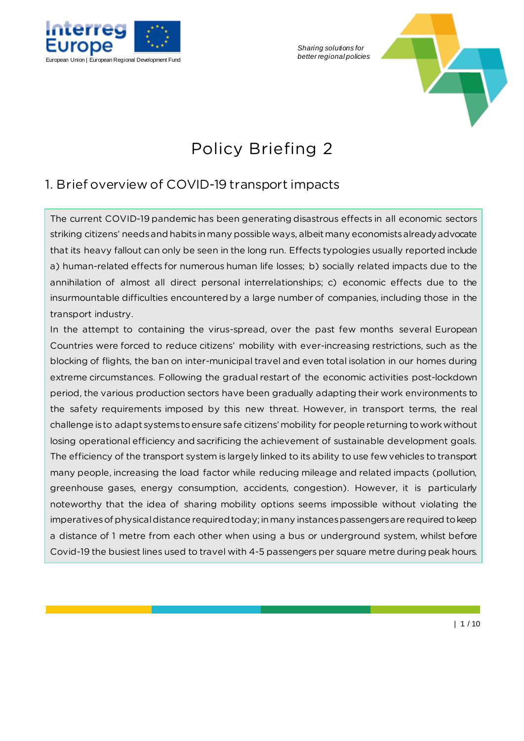

*Sharing solutions for* 



# Policy Briefing 2

# 1. Brief overview of COVID-19 transport impacts

The current COVID-19 pandemic has been generating disastrous effects in all economic sectors striking citizens' needs and habits in many possible ways, albeitmany economists already advocate that its heavy fallout can only be seen in the long run. Effects typologies usually reported include a) human-related effects for numerous human life losses; b) socially related impacts due to the annihilation of almost all direct personal interrelationships; c) economic effects due to the insurmountable difficulties encountered by a large number of companies, including those in the transport industry.

In the attempt to containing the virus-spread, over the past few months several European Countries were forced to reduce citizens' mobility with ever-increasing restrictions, such as the blocking of flights, the ban on inter-municipal travel and even total isolation in our homes during extreme circumstances. Following the gradual restart of the economic activities post-lockdown period, the various production sectors have been gradually adapting their work environments to the safety requirements imposed by this new threat. However, in transport terms, the real challenge is to adapt systems to ensure safe citizens' mobility for people returning to work without losing operational efficiency and sacrificing the achievement of sustainable development goals. The efficiency of the transport system is largely linked to its ability to use few vehicles to transport many people, increasing the load factor while reducing mileage and related impacts (pollution, greenhouse gases, energy consumption, accidents, congestion). However, it is particularly noteworthy that the idea of sharing mobility options seems impossible without violating the imperatives of physical distance required today; in many instances passengers are required to keep a distance of 1 metre from each other when using a bus or underground system, whilst before Covid-19 the busiest lines used to travel with 4-5 passengers per square metre during peak hours.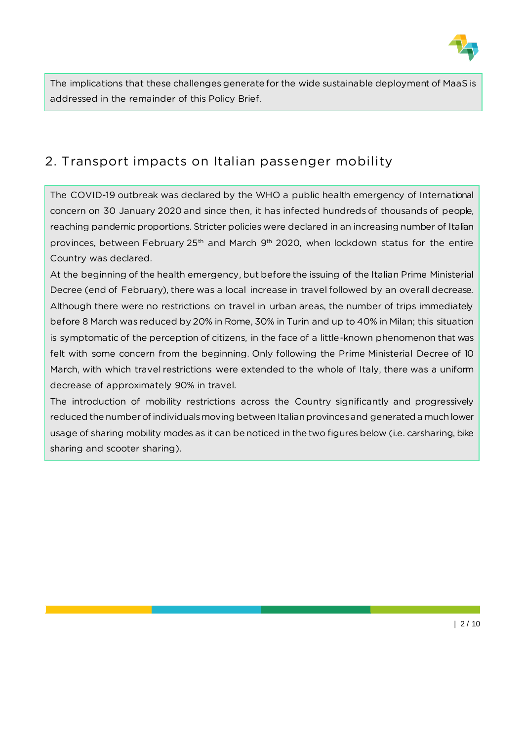

The implications that these challenges generate for the wide sustainable deployment of MaaS is addressed in the remainder of this Policy Brief.

## 2. Transport impacts on Italian passenger mobility

The COVID-19 outbreak was declared by the WHO a public health emergency of International concern on 30 January 2020 and since then, it has infected hundreds of thousands of people, reaching pandemic proportions. Stricter policies were declared in an increasing number of Italian provinces, between February  $25<sup>th</sup>$  and March 9<sup>th</sup> 2020, when lockdown status for the entire Country was declared.

At the beginning of the health emergency, but before the issuing of the Italian Prime Ministerial Decree (end of February), there was a local increase in travel followed by an overall decrease. Although there were no restrictions on travel in urban areas, the number of trips immediately before 8 March was reduced by 20% in Rome, 30% in Turin and up to 40% in Milan; this situation is symptomatic of the perception of citizens, in the face of a little-known phenomenon that was felt with some concern from the beginning. Only following the Prime Ministerial Decree of 10 March, with which travel restrictions were extended to the whole of Italy, there was a uniform decrease of approximately 90% in travel.

The introduction of mobility restrictions across the Country significantly and progressively reduced the number of individuals moving between Italian provinces and generated a much lower usage of sharing mobility modes as it can be noticed in the two figures below (i.e. carsharing, bike sharing and scooter sharing).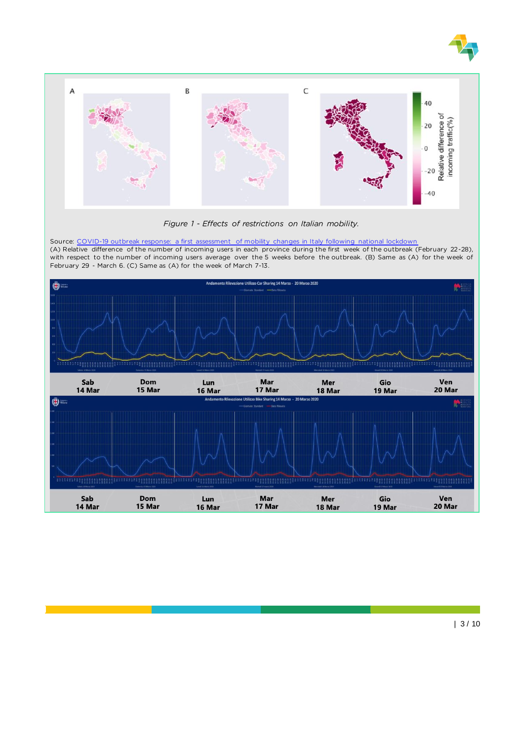



*Figure 1 - Effects of restrictions on Italian mobility.*

Source: [COVID-19 outbreak response: a first assessment of mobility changes in Italy following national lockdown](https://www.medrxiv.org/content/10.1101/2020.03.22.20039933v2.full.pdf) (A) Relative difference of the number of incoming users in each province during the first week of the outbreak (February 22-28), with respect to the number of incoming users average over the 5 weeks before the outbreak. (B) Same as (A) for the week of February 29 - March 6. (C) Same as (A) for the week of March 7-13.

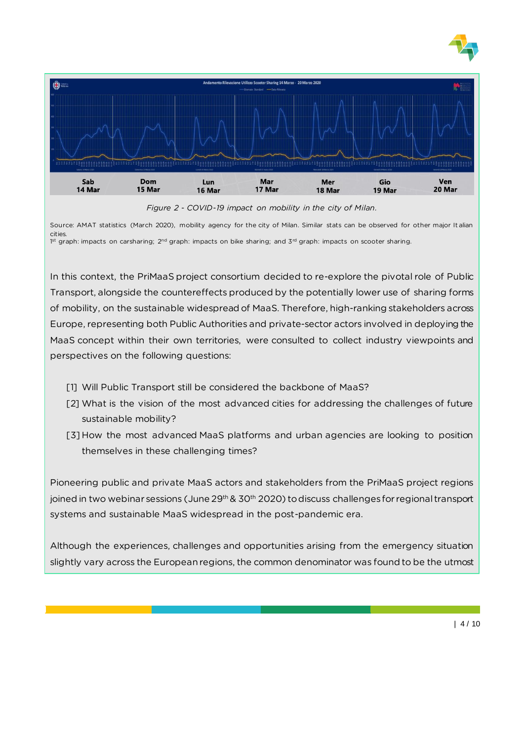



Source: AMAT statistics (March 2020), mobility agency for the city of Milan. Similar stats can be observed for other major It alian cities. 1st graph: impacts on carsharing; 2<sup>nd</sup> graph: impacts on bike sharing; and 3<sup>rd</sup> graph: impacts on scooter sharing.

In this context, the PriMaaS project consortium decided to re-explore the pivotal role of Public Transport, alongside the countereffects produced by the potentially lower use of sharing forms of mobility, on the sustainable widespread of MaaS. Therefore, high-ranking stakeholders across Europe, representing both Public Authorities and private-sector actors involved in deploying the MaaS concept within their own territories, were consulted to collect industry viewpoints and perspectives on the following questions:

- [1] Will Public Transport still be considered the backbone of MaaS?
- [2] What is the vision of the most advanced cities for addressing the challenges of future sustainable mobility?
- [3] How the most advanced MaaS platforms and urban agencies are looking to position themselves in these challenging times?

Pioneering public and private MaaS actors and stakeholders from the PriMaaS project regions joined in two webinar sessions (June 29<sup>th</sup> & 30<sup>th</sup> 2020) to discuss challenges for regional transport systems and sustainable MaaS widespread in the post-pandemic era.

Although the experiences, challenges and opportunities arising from the emergency situation slightly vary across the European regions, the common denominator was found to be the utmost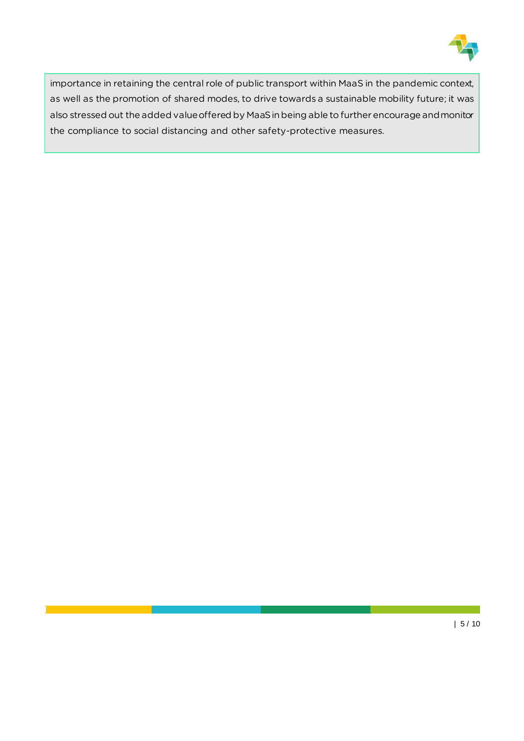

importance in retaining the central role of public transport within MaaS in the pandemic context, as well as the promotion of shared modes, to drive towards a sustainable mobility future; it was also stressed out the added value offered by MaaS in being able to further encourage and monitor the compliance to social distancing and other safety-protective measures.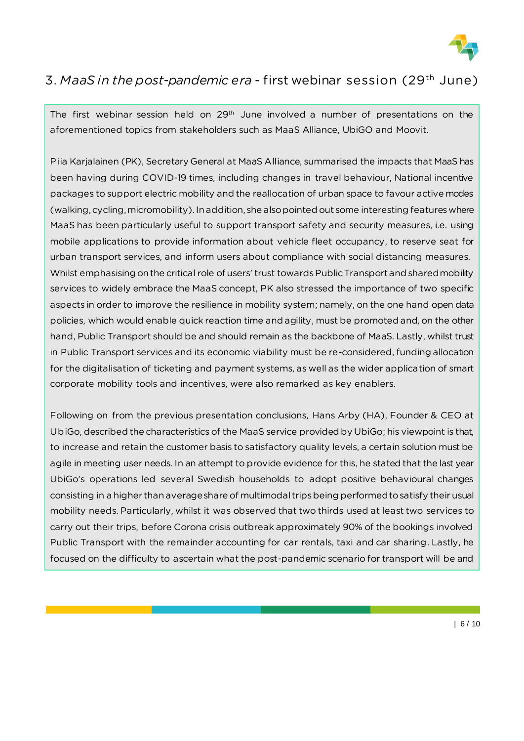

#### 3. *MaaS in the post-pandemic era -* first webinar session (29th June)

The first webinar session held on  $29<sup>th</sup>$  June involved a number of presentations on the aforementioned topics from stakeholders such as MaaS Alliance, UbiGO and Moovit.

Piia Karjalainen (PK), Secretary General at MaaS Alliance, summarised the impacts that MaaS has been having during COVID-19 times, including changes in travel behaviour, National incentive packages to support electric mobility and the reallocation of urban space to favour active modes (walking, cycling, micromobility). In addition, she also pointed out some interesting features where MaaS has been particularly useful to support transport safety and security measures, i.e. using mobile applications to provide information about vehicle fleet occupancy, to reserve seat for urban transport services, and inform users about compliance with social distancing measures. Whilst emphasising on the critical role of users' trust towards Public Transport and shared mobility services to widely embrace the MaaS concept, PK also stressed the importance of two specific aspects in order to improve the resilience in mobility system; namely, on the one hand open data policies, which would enable quick reaction time and agility, must be promoted and, on the other hand, Public Transport should be and should remain as the backbone of MaaS. Lastly, whilst trust in Public Transport services and its economic viability must be re-considered, funding allocation for the digitalisation of ticketing and payment systems, as well as the wider application of smart corporate mobility tools and incentives, were also remarked as key enablers.

Following on from the previous presentation conclusions, Hans Arby (HA), Founder & CEO at UbiGo, described the characteristics of the MaaS service provided by UbiGo; his viewpoint is that, to increase and retain the customer basis to satisfactory quality levels, a certain solution must be agile in meeting user needs. In an attempt to provide evidence for this, he stated that the last year UbiGo's operations led several Swedish households to adopt positive behavioural changes consisting in a higher than average share of multimodal trips being performed to satisfy their usual mobility needs. Particularly, whilst it was observed that two thirds used at least two services to carry out their trips, before Corona crisis outbreak approximately 90% of the bookings involved Public Transport with the remainder accounting for car rentals, taxi and car sharing. Lastly, he focused on the difficulty to ascertain what the post-pandemic scenario for transport will be and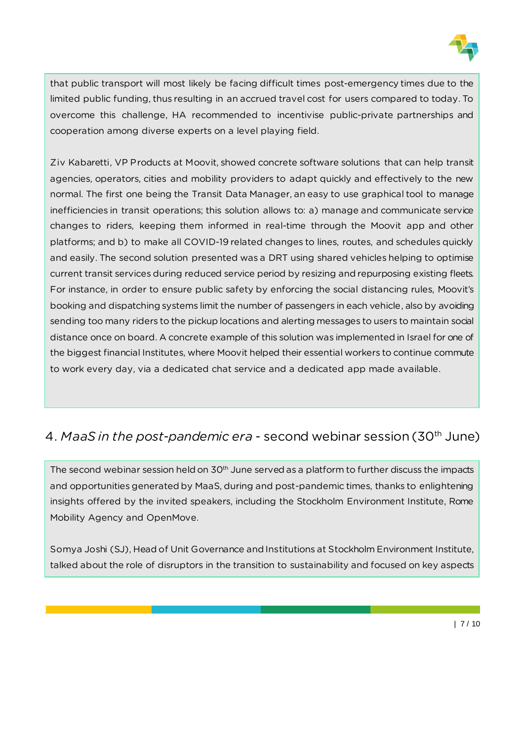

that public transport will most likely be facing difficult times post-emergency times due to the limited public funding, thus resulting in an accrued travel cost for users compared to today. To overcome this challenge, HA recommended to incentivise public-private partnerships and cooperation among diverse experts on a level playing field.

Ziv Kabaretti, VP Products at Moovit, showed concrete software solutions that can help transit agencies, operators, cities and mobility providers to adapt quickly and effectively to the new normal. The first one being the Transit Data Manager, an easy to use graphical tool to manage inefficiencies in transit operations; this solution allows to: a) manage and communicate service changes to riders, keeping them informed in real-time through the Moovit app and other platforms; and b) to make all COVID-19 related changes to lines, routes, and schedules quickly and easily. The second solution presented was a DRT using shared vehicles helping to optimise current transit services during reduced service period by resizing and repurposing existing fleets. For instance, in order to ensure public safety by enforcing the social distancing rules, Moovit's booking and dispatching systems limit the number of passengers in each vehicle, also by avoiding sending too many riders to the pickup locations and alerting messages to users to maintain social distance once on board. A concrete example of this solution was implemented in Israel for one of the biggest financial Institutes, where Moovit helped their essential workers to continue commute to work every day, via a dedicated chat service and a dedicated app made available.

### 4. *MaaS in the post-pandemic era -* second webinar session (30th June)

The second webinar session held on 30<sup>th</sup> June served as a platform to further discuss the impacts and opportunities generated by MaaS, during and post-pandemic times, thanks to enlightening insights offered by the invited speakers, including the Stockholm Environment Institute, Rome Mobility Agency and OpenMove.

Somya Joshi (SJ), Head of Unit Governance and Institutions at Stockholm Environment Institute, talked about the role of disruptors in the transition to sustainability and focused on key aspects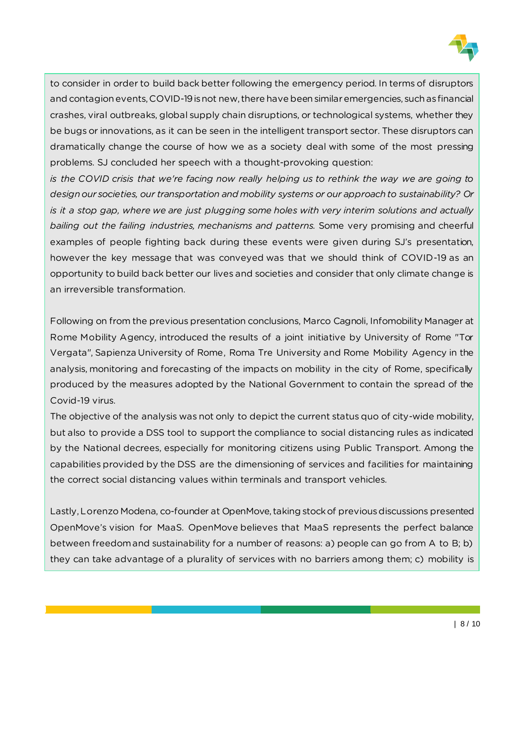

to consider in order to build back better following the emergency period. In terms of disruptors and contagion events, COVID-19 is not new, there have been similar emergencies, such as financial crashes, viral outbreaks, global supply chain disruptions, or technological systems, whether they be bugs or innovations, as it can be seen in the intelligent transport sector. These disruptors can dramatically change the course of how we as a society deal with some of the most pressing problems. SJ concluded her speech with a thought-provoking question:

*is the COVID crisis that we're facing now really helping us to rethink the way we are going to design our societies, our transportation and mobility systems or our approach to sustainability? Or is it a stop gap, where we are just plugging some holes with very interim solutions and actually bailing out the failing industries, mechanisms and patterns.* Some very promising and cheerful examples of people fighting back during these events were given during SJ's presentation, however the key message that was conveyed was that we should think of COVID-19 as an opportunity to build back better our lives and societies and consider that only climate change is an irreversible transformation.

Following on from the previous presentation conclusions, Marco Cagnoli, Infomobility Manager at Rome Mobility Agency, introduced the results of a joint initiative by University of Rome "Tor Vergata", Sapienza University of Rome, Roma Tre University and Rome Mobility Agency in the analysis, monitoring and forecasting of the impacts on mobility in the city of Rome, specifically produced by the measures adopted by the National Government to contain the spread of the Covid-19 virus.

The objective of the analysis was not only to depict the current status quo of city-wide mobility, but also to provide a DSS tool to support the compliance to social distancing rules as indicated by the National decrees, especially for monitoring citizens using Public Transport. Among the capabilities provided by the DSS are the dimensioning of services and facilities for maintaining the correct social distancing values within terminals and transport vehicles.

Lastly, Lorenzo Modena, co-founder at OpenMove, taking stock of previous discussions presented OpenMove's vision for MaaS. OpenMove believes that MaaS represents the perfect balance between freedom and sustainability for a number of reasons: a) people can go from A to B; b) they can take advantage of a plurality of services with no barriers among them; c) mobility is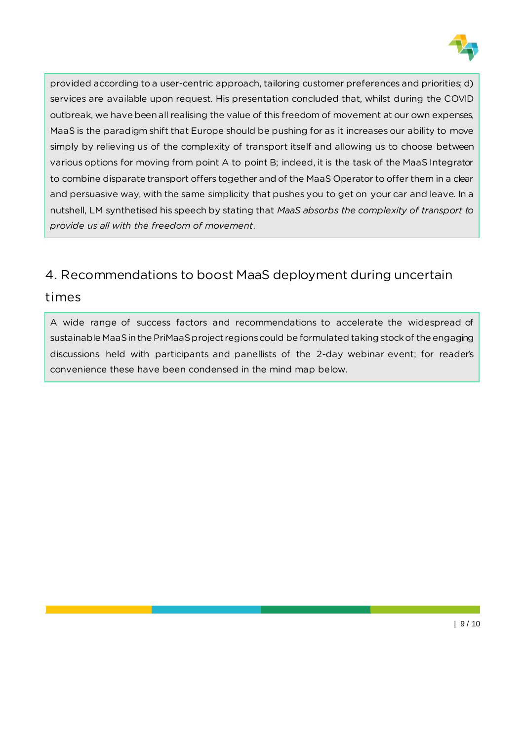

provided according to a user-centric approach, tailoring customer preferences and priorities; d) services are available upon request. His presentation concluded that, whilst during the COVID outbreak, we have been all realising the value of this freedom of movement at our own expenses, MaaS is the paradigm shift that Europe should be pushing for as it increases our ability to move simply by relieving us of the complexity of transport itself and allowing us to choose between various options for moving from point A to point B; indeed, it is the task of the MaaS Integrator to combine disparate transport offers together and of the MaaS Operator to offer them in a clear and persuasive way, with the same simplicity that pushes you to get on your car and leave. In a nutshell, LM synthetised his speech by stating that *MaaS absorbs the complexity of transport to provide us all with the freedom of movement*.

#### 4. Recommendations to boost MaaS deployment during uncertain

#### times

A wide range of success factors and recommendations to accelerate the widespread of sustainable MaaS in the PriMaaS project regionscould be formulated taking stock of the engaging discussions held with participants and panellists of the 2-day webinar event; for reader's convenience these have been condensed in the mind map below.